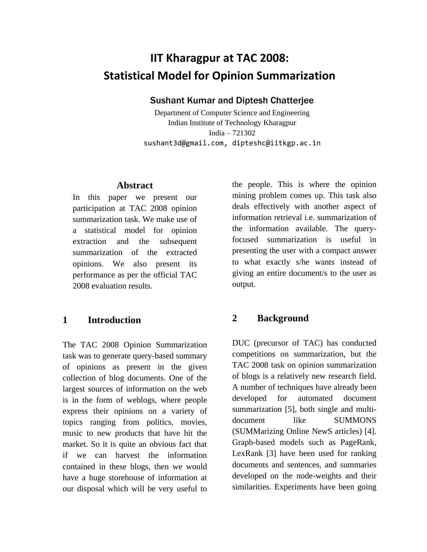# **IIT Kharagpur at TAC 2008: Statistical Model for Opinion Summarization**

#### Sushant Kumar and Diptesh Chatterjee

Department of Computer Science and Engineering Indian Institute of Technology Kharagpur India – 721302 sushant3d@gmail.com, dipteshc@iitkgp.ac.in

### **Abstract**

In this paper we present our participation at TAC 2008 opinion summarization task. We make use of a statistical model for opinion extraction and the subsequent summarization of the extracted opinions. We also present its performance as per the official TAC 2008 evaluation results.

#### **1 Introduction**

The TAC 2008 Opinion Summarization task was to generate query-based summary of opinions as present in the given collection of blog documents. One of the largest sources of information on the web is in the form of weblogs, where people express their opinions on a variety of topics ranging from politics, movies, music to new products that have hit the market. So it is quite an obvious fact that if we can harvest the information contained in these blogs, then we would have a huge storehouse of information at our disposal which will be very useful to

the people. This is where the opinion mining problem comes up. This task also deals effectively with another aspect of information retrieval i.e. summarization of the information available. The queryfocused summarization is useful in presenting the user with a compact answer to what exactly s/he wants instead of giving an entire document/s to the user as output.

### **2 Background**

DUC (precursor of TAC) has conducted competitions on summarization, but the TAC 2008 task on opinion summarization of blogs is a relatively new research field. A number of techniques have already been developed for automated document summarization [5], both single and multidocument like SUMMONS (SUMMarizing Online NewS articles) [4]. Graph-based models such as PageRank, LexRank [3] have been used for ranking documents and sentences, and summaries developed on the node-weights and their similarities. Experiments have been going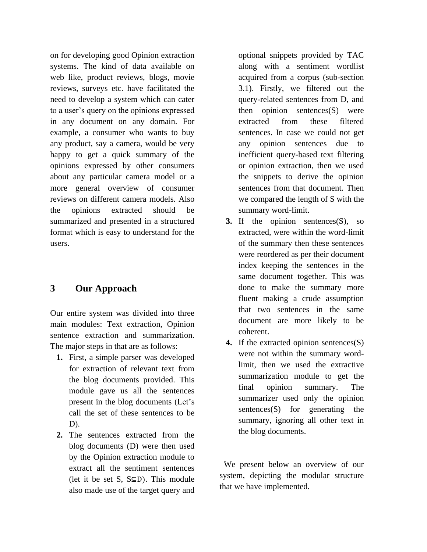on for developing good Opinion extraction systems. The kind of data available on web like, product reviews, blogs, movie reviews, surveys etc. have facilitated the need to develop a system which can cater to a user"s query on the opinions expressed in any document on any domain. For example, a consumer who wants to buy any product, say a camera, would be very happy to get a quick summary of the opinions expressed by other consumers about any particular camera model or a more general overview of consumer reviews on different camera models. Also the opinions extracted should be summarized and presented in a structured format which is easy to understand for the users.

# **3 Our Approach**

Our entire system was divided into three main modules: Text extraction, Opinion sentence extraction and summarization. The major steps in that are as follows:

- **1.** First, a simple parser was developed for extraction of relevant text from the blog documents provided. This module gave us all the sentences present in the blog documents (Let's call the set of these sentences to be D).
- **2.** The sentences extracted from the blog documents (D) were then used by the Opinion extraction module to extract all the sentiment sentences (let it be set S,  $S\subseteq D$ ). This module also made use of the target query and

optional snippets provided by TAC along with a sentiment wordlist acquired from a corpus (sub-section 3.1). Firstly, we filtered out the query-related sentences from D, and then opinion sentences(S) were extracted from these filtered sentences. In case we could not get any opinion sentences due to inefficient query-based text filtering or opinion extraction, then we used the snippets to derive the opinion sentences from that document. Then we compared the length of S with the summary word-limit.

- **3.** If the opinion sentences(S), so extracted, were within the word-limit of the summary then these sentences were reordered as per their document index keeping the sentences in the same document together. This was done to make the summary more fluent making a crude assumption that two sentences in the same document are more likely to be coherent.
- **4.** If the extracted opinion sentences(S) were not within the summary wordlimit, then we used the extractive summarization module to get the final opinion summary. The summarizer used only the opinion sentences(S) for generating the summary, ignoring all other text in the blog documents.

 We present below an overview of our system, depicting the modular structure that we have implemented.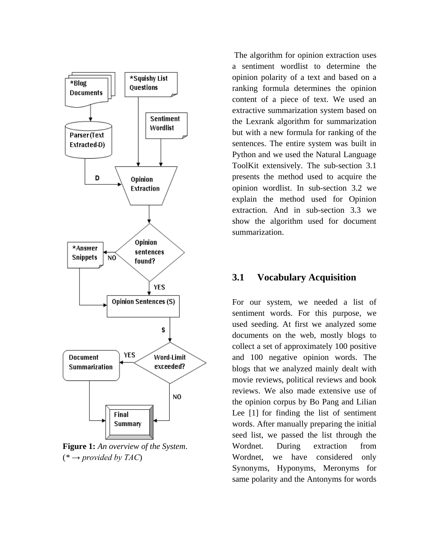

**Figure 1:** *An overview of the System*. (*\* → provided by TAC*)

The algorithm for opinion extraction uses a sentiment wordlist to determine the opinion polarity of a text and based on a ranking formula determines the opinion content of a piece of text. We used an extractive summarization system based on the Lexrank algorithm for summarization but with a new formula for ranking of the sentences. The entire system was built in Python and we used the Natural Language ToolKit extensively. The sub-section 3.1 presents the method used to acquire the opinion wordlist. In sub-section 3.2 we explain the method used for Opinion extraction. And in sub-section 3.3 we show the algorithm used for document summarization.

## **3.1 Vocabulary Acquisition**

For our system, we needed a list of sentiment words. For this purpose, we used seeding. At first we analyzed some documents on the web, mostly blogs to collect a set of approximately 100 positive and 100 negative opinion words. The blogs that we analyzed mainly dealt with movie reviews, political reviews and book reviews. We also made extensive use of the opinion corpus by Bo Pang and Lilian Lee [1] for finding the list of sentiment words. After manually preparing the initial seed list, we passed the list through the Wordnet. During extraction from Wordnet, we have considered only Synonyms, Hyponyms, Meronyms for same polarity and the Antonyms for words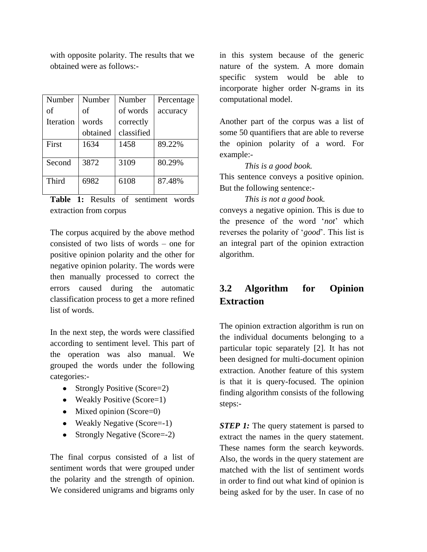with opposite polarity. The results that we obtained were as follows:-

| Number    | Number   | Number     | Percentage |
|-----------|----------|------------|------------|
| of        | of       | of words   | accuracy   |
| Iteration | words    | correctly  |            |
|           | obtained | classified |            |
| First     | 1634     | 1458       | 89.22%     |
| Second    | 3872     | 3109       | 80.29%     |
| Third     | 6982     | 6108       | 87.48%     |

**Table 1:** Results of sentiment words extraction from corpus

The corpus acquired by the above method consisted of two lists of words – one for positive opinion polarity and the other for negative opinion polarity. The words were then manually processed to correct the errors caused during the automatic classification process to get a more refined list of words.

In the next step, the words were classified according to sentiment level. This part of the operation was also manual. We grouped the words under the following categories:-

- Strongly Positive (Score=2)
- Weakly Positive (Score=1)
- $\bullet$  Mixed opinion (Score=0)
- Weakly Negative (Score=-1)
- Strongly Negative (Score=-2)

The final corpus consisted of a list of sentiment words that were grouped under the polarity and the strength of opinion. We considered unigrams and bigrams only

in this system because of the generic nature of the system. A more domain specific system would be able to incorporate higher order N-grams in its computational model.

Another part of the corpus was a list of some 50 quantifiers that are able to reverse the opinion polarity of a word. For example:-

*This is a good book.*

This sentence conveys a positive opinion. But the following sentence:-

*This is not a good book.* conveys a negative opinion. This is due to the presence of the word "*not*" which reverses the polarity of "*good*". This list is an integral part of the opinion extraction algorithm.

# **3.2 Algorithm for Opinion Extraction**

The opinion extraction algorithm is run on the individual documents belonging to a particular topic separately [2]. It has not been designed for multi-document opinion extraction. Another feature of this system is that it is query-focused. The opinion finding algorithm consists of the following steps:-

*STEP 1:* The query statement is parsed to extract the names in the query statement. These names form the search keywords. Also, the words in the query statement are matched with the list of sentiment words in order to find out what kind of opinion is being asked for by the user. In case of no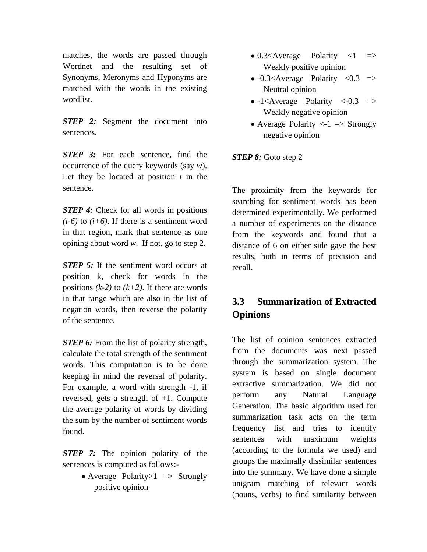matches, the words are passed through Wordnet and the resulting set of Synonyms, Meronyms and Hyponyms are matched with the words in the existing wordlist.

*STEP* 2: Segment the document into sentences.

*STEP* 3: For each sentence, find the occurrence of the query keywords (say *w*). Let they be located at position *i* in the sentence.

*STEP 4:* Check for all words in positions  $(i-6)$  to  $(i+6)$ . If there is a sentiment word in that region, mark that sentence as one opining about word *w*. If not, go to step 2.

*STEP 5:* If the sentiment word occurs at position k, check for words in the positions  $(k-2)$  to  $(k+2)$ . If there are words in that range which are also in the list of negation words, then reverse the polarity of the sentence.

*STEP 6:* From the list of polarity strength, calculate the total strength of the sentiment words. This computation is to be done keeping in mind the reversal of polarity. For example, a word with strength -1, if reversed, gets a strength of +1. Compute the average polarity of words by dividing the sum by the number of sentiment words found.

*STEP 7:* The opinion polarity of the sentences is computed as follows:-

> • Average Polarity $>1$  => Strongly positive opinion

- $\bullet$  0.3<Average Polarity <1  $\Rightarrow$ Weakly positive opinion
- $\bullet$  -0.3<Average Polarity <0.3  $\Rightarrow$ Neutral opinion
- $\bullet$  -1<Average Polarity <-0.3  $\Rightarrow$ Weakly negative opinion
- Average Polarity  $\langle -1 \rangle$  => Strongly negative opinion

*STEP 8:* Goto step 2

The proximity from the keywords for searching for sentiment words has been determined experimentally. We performed a number of experiments on the distance from the keywords and found that a distance of 6 on either side gave the best results, both in terms of precision and recall.

# **3.3 Summarization of Extracted Opinions**

The list of opinion sentences extracted from the documents was next passed through the summarization system. The system is based on single document extractive summarization. We did not perform any Natural Language Generation. The basic algorithm used for summarization task acts on the term frequency list and tries to identify sentences with maximum weights (according to the formula we used) and groups the maximally dissimilar sentences into the summary. We have done a simple unigram matching of relevant words (nouns, verbs) to find similarity between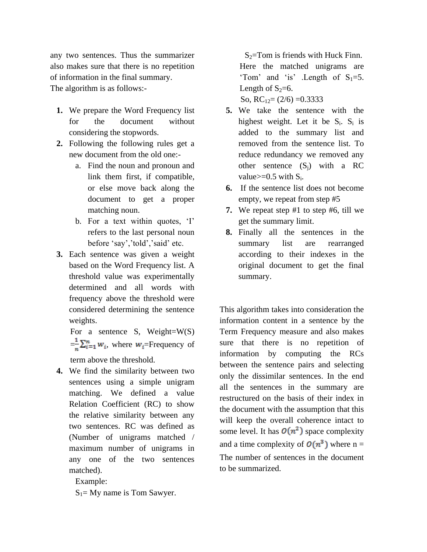any two sentences. Thus the summarizer also makes sure that there is no repetition of information in the final summary. The algorithm is as follows:-

- **1.** We prepare the Word Frequency list for the document without considering the stopwords.
- **2.** Following the following rules get a new document from the old one:
	- a. Find the noun and pronoun and link them first, if compatible, or else move back along the document to get a proper matching noun.
	- b. For a text within quotes, 'I' refers to the last personal noun before 'say','told','said' etc.
- **3.** Each sentence was given a weight based on the Word Frequency list. A threshold value was experimentally determined and all words with frequency above the threshold were considered determining the sentence weights.

For a sentence S, Weight= $W(S)$  $=\frac{1}{n}\sum_{i=1}^n w_i$ , where  $w_i$ =Frequency of term above the threshold.

**4.** We find the similarity between two sentences using a simple unigram matching. We defined a value Relation Coefficient (RC) to show the relative similarity between any two sentences. RC was defined as (Number of unigrams matched / maximum number of unigrams in any one of the two sentences matched).

Example:

 $S_1$ = My name is Tom Sawyer.

 $S_2$ =Tom is friends with Huck Finn. Here the matched unigrams are 'Tom' and 'is' .Length of  $S_1=5$ . Length of  $S_2=6$ . So,  $RC_{12} = (2/6) = 0.3333$ 

- **5.** We take the sentence with the highest weight. Let it be  $S_i$ .  $S_i$  is added to the summary list and removed from the sentence list. To reduce redundancy we removed any other sentence  $(S_i)$  with a RC value $>=0.5$  with  $S_i$ .
- **6.** If the sentence list does not become empty, we repeat from step #5
- **7.** We repeat step #1 to step #6, till we get the summary limit.
- **8.** Finally all the sentences in the summary list are rearranged according to their indexes in the original document to get the final summary.

This algorithm takes into consideration the information content in a sentence by the Term Frequency measure and also makes sure that there is no repetition of information by computing the RCs between the sentence pairs and selecting only the dissimilar sentences. In the end all the sentences in the summary are restructured on the basis of their index in the document with the assumption that this will keep the overall coherence intact to some level. It has  $O(n^2)$  space complexity and a time complexity of  $O(n^3)$  where n = The number of sentences in the document to be summarized.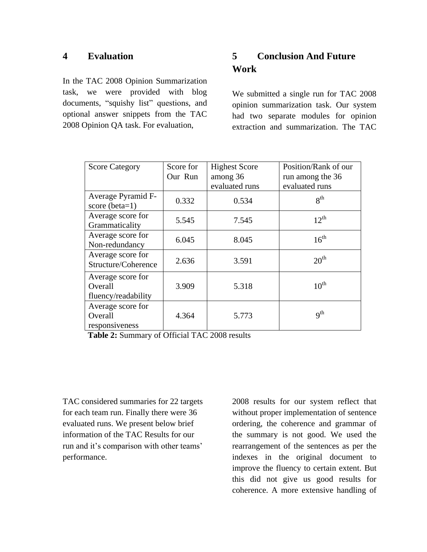### **4 Evaluation**

In the TAC 2008 Opinion Summarization task, we were provided with blog documents, "squishy list" questions, and optional answer snippets from the TAC 2008 Opinion QA task. For evaluation,

# **5 Conclusion And Future Work**

We submitted a single run for TAC 2008 opinion summarization task. Our system had two separate modules for opinion extraction and summarization. The TAC

| <b>Score Category</b>                               | Score for | <b>Highest Score</b> | Position/Rank of our |
|-----------------------------------------------------|-----------|----------------------|----------------------|
|                                                     | Our Run   | among 36             | run among the 36     |
|                                                     |           | evaluated runs       | evaluated runs       |
| Average Pyramid F-<br>score (beta= $1$ )            | 0.332     | 0.534                | 8 <sup>th</sup>      |
| Average score for<br>Grammaticality                 | 5.545     | 7.545                | $12^{th}$            |
| Average score for<br>Non-redundancy                 | 6.045     | 8.045                | $16^{th}$            |
| Average score for<br>Structure/Coherence            | 2.636     | 3.591                | 20 <sup>th</sup>     |
| Average score for<br>Overall<br>fluency/readability | 3.909     | 5.318                | $10^{\text{th}}$     |
| Average score for<br>Overall<br>responsiveness      | 4.364     | 5.773                | $q^{th}$             |

**Table 2:** Summary of Official TAC 2008 results

TAC considered summaries for 22 targets for each team run. Finally there were 36 evaluated runs. We present below brief information of the TAC Results for our run and it's comparison with other teams' performance.

2008 results for our system reflect that without proper implementation of sentence ordering, the coherence and grammar of the summary is not good. We used the rearrangement of the sentences as per the indexes in the original document to improve the fluency to certain extent. But this did not give us good results for coherence. A more extensive handling of